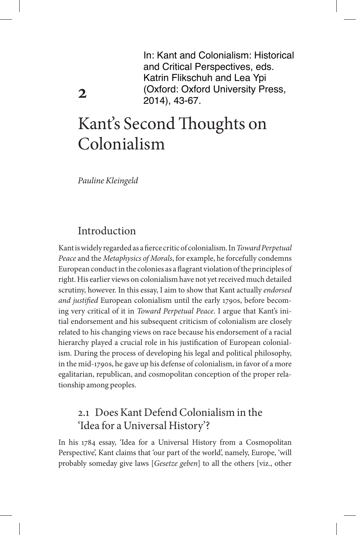In: Kant and Colonialism: Historical and Critical Perspectives, eds. Katrin Flikschuh and Lea Ypi (Oxford: Oxford University Press, 2014), 43-67.

# Kant's Second Thoughts on Colonialism

Pauline Kleingeld

**2**

## Introduction

Kant is widely regarded as a ferce critic of colonialism. In Toward Perpetual Peace and the Metaphysics of Morals, for example, he forcefully condemns European conduct in the colonies as a fagrant violation of the principles of right. His earlier views on colonialism have not yet received much detailed scrutiny, however. In this essay, I aim to show that Kant actually endorsed and justifed European colonialism until the early 1790s, before becoming very critical of it in Toward Perpetual Peace. I argue that Kant's initial endorsement and his subsequent criticism of colonialism are closely related to his changing views on race because his endorsement of a racial hierarchy played a crucial role in his justifcation of European colonialism. During the process of developing his legal and political philosophy, in the mid-1790s, he gave up his defense of colonialism, in favor of a more egalitarian, republican, and cosmopolitan conception of the proper relationship among peoples.

## 2.1 Does Kant Defend Colonialism in the 'Idea for a Universal History'?

In his 1784 essay, 'Idea for a Universal History from a Cosmopolitan Perspective', Kant claims that 'our part of the world', namely, Europe, 'will probably someday give laws [Gesetze geben] to all the others [viz., other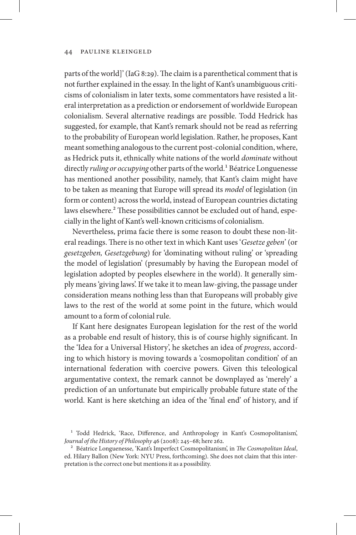parts of the world]' (IaG 8:29). The claim is a parenthetical comment that is not further explained in the essay. In the light of Kant's unambiguous criticisms of colonialism in later texts, some commentators have resisted a literal interpretation as a prediction or endorsement of worldwide European colonialism. Several alternative readings are possible. Todd Hedrick has suggested, for example, that Kant's remark should not be read as referring to the probability of European world legislation. Rather, he proposes, Kant meant something analogous to the current post-colonial condition, where, as Hedrick puts it, ethnically white nations of the world dominate without directly ruling or occupying other parts of the world.<sup>1</sup> Béatrice Longuenesse has mentioned another possibility, namely, that Kant's claim might have to be taken as meaning that Europe will spread its model of legislation (in form or content) across the world, instead of European countries dictating laws elsewhere.<sup>2</sup> These possibilities cannot be excluded out of hand, especially in the light of Kant's well-known criticisms of colonialism.

Nevertheless, prima facie there is some reason to doubt these non-literal readings. There is no other text in which Kant uses 'Gesetze geben' (or gesetzgeben, Gesetzgebung) for 'dominating without ruling' or 'spreading the model of legislation' (presumably by having the European model of legislation adopted by peoples elsewhere in the world). It generally simply means 'giving laws'. If we take it to mean law-giving, the passage under consideration means nothing less than that Europeans will probably give laws to the rest of the world at some point in the future, which would amount to a form of colonial rule.

If Kant here designates European legislation for the rest of the world as a probable end result of history, this is of course highly signifcant. In the 'Idea for a Universal History', he sketches an idea of progress, according to which history is moving towards a 'cosmopolitan condition' of an international federation with coercive powers. Given this teleological argumentative context, the remark cannot be downplayed as 'merely' a prediction of an unfortunate but empirically probable future state of the world. Kant is here sketching an idea of the 'fnal end' of history, and if

<sup>&</sup>lt;sup>1</sup> Todd Hedrick, 'Race, Difference, and Anthropology in Kant's Cosmopolitanism', Journal of the History of Philosophy 46 (2008): 245–68; here 262.

<sup>&</sup>lt;sup>2</sup> Béatrice Longuenesse, 'Kant's Imperfect Cosmopolitanism', in The Cosmopolitan Ideal, ed. Hilary Ballon (New York: NYU Press, forthcoming). She does not claim that this interpretation is the correct one but mentions it as a possibility.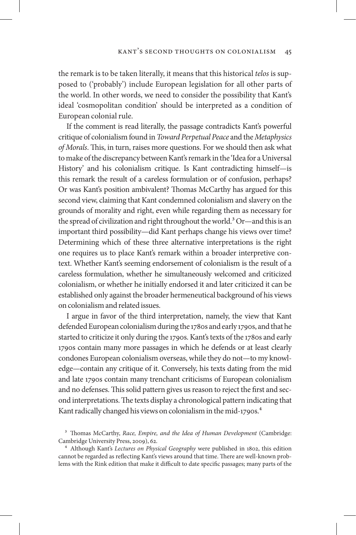the remark is to be taken literally, it means that this historical telos is supposed to ('probably') include European legislation for all other parts of the world. In other words, we need to consider the possibility that Kant's ideal 'cosmopolitan condition' should be interpreted as a condition of European colonial rule.

If the comment is read literally, the passage contradicts Kant's powerful critique of colonialism found in Toward Perpetual Peace and the Metaphysics of Morals. This, in turn, raises more questions. For we should then ask what to make of the discrepancy between Kant's remark in the 'Idea for a Universal History' and his colonialism critique. Is Kant contradicting himself—is this remark the result of a careless formulation or of confusion, perhaps? Or was Kant's position ambivalent? Thomas McCarthy has argued for this second view, claiming that Kant condemned colonialism and slavery on the grounds of morality and right, even while regarding them as necessary for the spread of civilization and right throughout the world.<sup>3</sup> Or—and this is an important third possibility—did Kant perhaps change his views over time? Determining which of these three alternative interpretations is the right one requires us to place Kant's remark within a broader interpretive context. Whether Kant's seeming endorsement of colonialism is the result of a careless formulation, whether he simultaneously welcomed and criticized colonialism, or whether he initially endorsed it and later criticized it can be established only against the broader hermeneutical background of his views on colonialism and related issues.

I argue in favor of the third interpretation, namely, the view that Kant defended European colonialism during the 1780s and early 1790s, and that he started to criticize it only during the 1790s. Kant's texts of the 1780s and early 1790s contain many more passages in which he defends or at least clearly condones European colonialism overseas, while they do not—to my knowledge—contain any critique of it. Conversely, his texts dating from the mid and late 1790s contain many trenchant criticisms of European colonialism and no defenses. This solid pattern gives us reason to reject the first and second interpretations. The texts display a chronological pattern indicating that Kant radically changed his views on colonialism in the mid-1790s.<sup>4</sup>

<sup>&</sup>lt;sup>3</sup> Thomas McCarthy, Race, Empire, and the Idea of Human Development (Cambridge: Cambridge University Press, 2009), 62.

<sup>4</sup> Although Kant's Lectures on Physical Geography were published in 1802, this edition cannot be regarded as reflecting Kant's views around that time. There are well-known problems with the Rink edition that make it difficult to date specific passages; many parts of the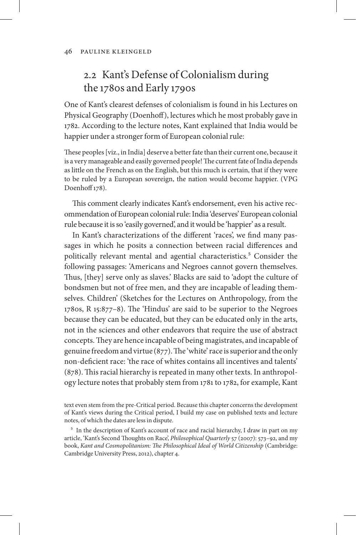# 2.2 Kant's Defense of Colonialism during the 1780s and Early 1790s

One of Kant's clearest defenses of colonialism is found in his Lectures on Physical Geography (Doenhof), lectures which he most probably gave in 1782. According to the lecture notes, Kant explained that India would be happier under a stronger form of European colonial rule:

These peoples [viz., in India] deserve a better fate than their current one, because it is a very manageable and easily governed people! The current fate of India depends as little on the French as on the English, but this much is certain, that if they were to be ruled by a European sovereign, the nation would become happier. (VPG Doenhoff 178).

This comment clearly indicates Kant's endorsement, even his active recommendation of European colonial rule: India 'deserves' European colonial rule because it is so 'easily governed', and it would be 'happier' as a result.

In Kant's characterizations of the diferent 'races', we fnd many passages in which he posits a connection between racial diferences and politically relevant mental and agential characteristics.<sup>5</sup> Consider the following passages: 'Americans and Negroes cannot govern themselves. Thus, [they] serve only as slaves.' Blacks are said to 'adopt the culture of bondsmen but not of free men, and they are incapable of leading themselves. Children' (Sketches for the Lectures on Anthropology, from the  $1780s$ , R  $15:877-8$ ). The 'Hindus' are said to be superior to the Negroes because they can be educated, but they can be educated only in the arts, not in the sciences and other endeavors that require the use of abstract concepts. They are hence incapable of being magistrates, and incapable of genuine freedom and virtue (877). The 'white' race is superior and the only non-defcient race: 'the race of whites contains all incentives and talents'  $(878)$ . This racial hierarchy is repeated in many other texts. In anthropology lecture notes that probably stem from 1781 to 1782, for example, Kant

text even stem from the pre-Critical period. Because this chapter concerns the development of Kant's views during the Critical period, I build my case on published texts and lecture notes, of which the dates are less in dispute.

<sup>5</sup> In the description of Kant's account of race and racial hierarchy, I draw in part on my article, 'Kant's Second Thoughts on Race', Philosophical Quarterly 57 (2007): 573-92, and my book, Kant and Cosmopolitanism: The Philosophical Ideal of World Citizenship (Cambridge: Cambridge University Press, 2012), chapter 4.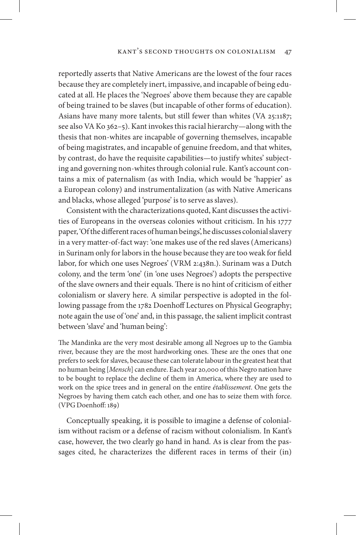reportedly asserts that Native Americans are the lowest of the four races because they are completely inert, impassive, and incapable of being educated at all. He places the 'Negroes' above them because they are capable of being trained to be slaves (but incapable of other forms of education). Asians have many more talents, but still fewer than whites (VA 25:1187; see also VA Ko 362–5). Kant invokes this racial hierarchy—along with the thesis that non-whites are incapable of governing themselves, incapable of being magistrates, and incapable of genuine freedom, and that whites, by contrast, do have the requisite capabilities—to justify whites' subjecting and governing non-whites through colonial rule. Kant's account contains a mix of paternalism (as with India, which would be 'happier' as a European colony) and instrumentalization (as with Native Americans and blacks, whose alleged 'purpose' is to serve as slaves).

Consistent with the characterizations quoted, Kant discusses the activities of Europeans in the overseas colonies without criticism. In his 1777 paper, 'Of the diferent races of human beings', he discusses colonial slavery in a very matter-of-fact way: 'one makes use of the red slaves (Americans) in Surinam only for labors in the house because they are too weak for feld labor, for which one uses Negroes' (VRM 2:438n.). Surinam was a Dutch colony, and the term 'one' (in 'one uses Negroes') adopts the perspective of the slave owners and their equals. There is no hint of criticism of either colonialism or slavery here. A similar perspective is adopted in the following passage from the 1782 Doenhoff Lectures on Physical Geography; note again the use of 'one' and, in this passage, the salient implicit contrast between 'slave' and 'human being':

The Mandinka are the very most desirable among all Negroes up to the Gambia river, because they are the most hardworking ones. These are the ones that one prefers to seek for slaves, because these can tolerate labour in the greatest heat that no human being [Mensch] can endure. Each year 20,000 of this Negro nation have to be bought to replace the decline of them in America, where they are used to work on the spice trees and in general on the entire établissement. One gets the Negroes by having them catch each other, and one has to seize them with force. (VPG Doenhof: 189)

Conceptually speaking, it is possible to imagine a defense of colonialism without racism or a defense of racism without colonialism. In Kant's case, however, the two clearly go hand in hand. As is clear from the passages cited, he characterizes the diferent races in terms of their (in)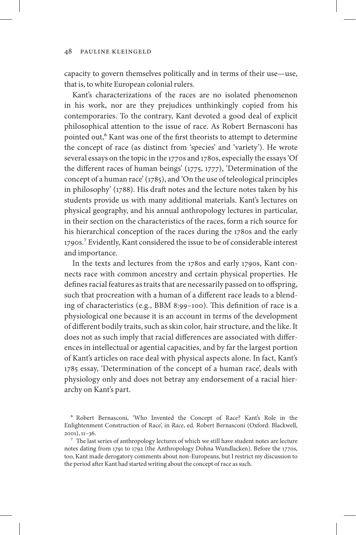capacity to govern themselves politically and in terms of their use—use, that is, to white European colonial rulers.

Kant's characterizations of the races are no isolated phenomenon in his work, nor are they prejudices unthinkingly copied from his contemporaries. To the contrary, Kant devoted a good deal of explicit philosophical attention to the issue of race. As Robert Bernasconi has pointed out,<sup>6</sup> Kant was one of the first theorists to attempt to determine the concept of race (as distinct from 'species' and 'variety'). He wrote several essays on the topic in the 1770s and 1780s, especially the essays 'Of the diferent races of human beings' (1775, 1777), 'Determination of the concept of a human race' (1785), and 'On the use of teleological principles in philosophy' (1788). His draft notes and the lecture notes taken by his students provide us with many additional materials. Kant's lectures on physical geography, and his annual anthropology lectures in particular, in their section on the characteristics of the races, form a rich source for his hierarchical conception of the races during the 1780s and the early 1790s.<sup>7</sup> Evidently, Kant considered the issue to be of considerable interest and importance.

In the texts and lectures from the 1780s and early 1790s, Kant connects race with common ancestry and certain physical properties. He defines racial features as traits that are necessarily passed on to offspring, such that procreation with a human of a diferent race leads to a blending of characteristics (e.g., BBM 8:99-100). This definition of race is a physiological one because it is an account in terms of the development of diferent bodily traits, such as skin color, hair structure, and the like. It does not as such imply that racial diferences are associated with diferences in intellectual or agential capacities, and by far the largest portion of Kant's articles on race deal with physical aspects alone. In fact, Kant's 1785 essay, 'Determination of the concept of a human race', deals with physiology only and does not betray any endorsement of a racial hierarchy on Kant's part.

<sup>6</sup> Robert Bernasconi, 'Who Invented the Concept of Race? Kant's Role in the Enlightenment Construction of Race', in Race, ed. Robert Bernasconi (Oxford: Blackwell, 2001), 11–36.

 $^7\,$  The last series of anthropology lectures of which we still have student notes are lecture notes dating from 1791 to 1792 (the Anthropology Dohna Wundlacken). Before the 1770s, too, Kant made derogatory comments about non-Europeans, but I restrict my discussion to the period after Kant had started writing about the concept of race as such.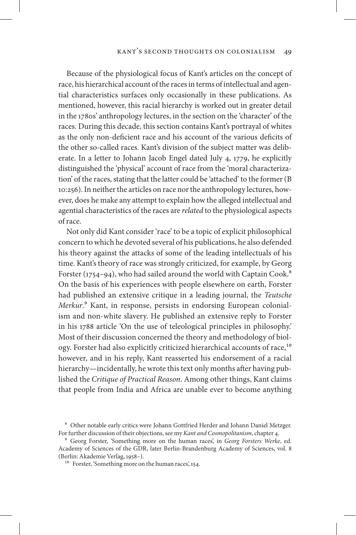Because of the physiological focus of Kant's articles on the concept of race, his hierarchical account of the races in terms of intellectual and agential characteristics surfaces only occasionally in these publications. As mentioned, however, this racial hierarchy is worked out in greater detail in the 1780s' anthropology lectures, in the section on the 'character' of the races. During this decade, this section contains Kant's portrayal of whites as the only non-defcient race and his account of the various defcits of the other so-called races. Kant's division of the subject matter was deliberate. In a letter to Johann Jacob Engel dated July 4, 1779, he explicitly distinguished the 'physical' account of race from the 'moral characterization' of the races, stating that the latter could be 'attached' to the former (B 10:256). In neither the articles on race nor the anthropology lectures, however, does he make any attempt to explain how the alleged intellectual and agential characteristics of the races are related to the physiological aspects of race.

Not only did Kant consider 'race' to be a topic of explicit philosophical concern to which he devoted several of his publications, he also defended his theory against the attacks of some of the leading intellectuals of his time. Kant's theory of race was strongly criticized, for example, by Georg Forster (1754-94), who had sailed around the world with Captain Cook.<sup>8</sup> On the basis of his experiences with people elsewhere on earth, Forster had published an extensive critique in a leading journal, the Teutsche Merkur.<sup>9</sup> Kant, in response, persists in endorsing European colonialism and non-white slavery. He published an extensive reply to Forster in his 1788 article 'On the use of teleological principles in philosophy.' Most of their discussion concerned the theory and methodology of biology. Forster had also explicitly criticized hierarchical accounts of race,<sup>10</sup> however, and in his reply, Kant reasserted his endorsement of a racial hierarchy—incidentally, he wrote this text only months after having published the Critique of Practical Reason. Among other things, Kant claims that people from India and Africa are unable ever to become anything

<sup>8</sup> Other notable early critics were Johann Gottfried Herder and Johann Daniel Metzger. For further discussion of their objections, see my Kant and Cosmopolitanism, chapter 4.

<sup>&</sup>lt;sup>9</sup> Georg Forster, 'Something more on the human races', in Georg Forsters Werke, ed. Academy of Sciences of the GDR, later Berlin-Brandenburg Academy of Sciences, vol. 8 (Berlin: Akademie Verlag, 1958–).

<sup>10</sup> Forster, 'Something more on the human races', 154.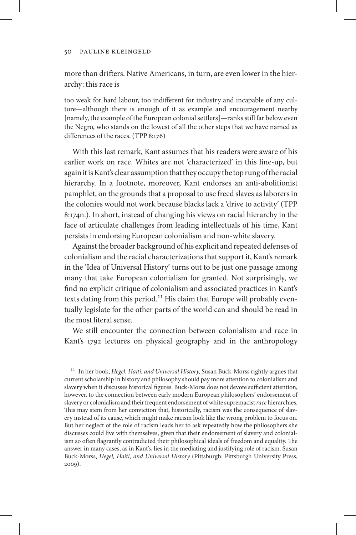more than drifers. Native Americans, in turn, are even lower in the hierarchy: this race is

too weak for hard labour, too indiferent for industry and incapable of any culture—although there is enough of it as example and encouragement nearby [namely, the example of the European colonial settlers]—ranks still far below even the Negro, who stands on the lowest of all the other steps that we have named as diferences of the races. (TPP 8:176)

With this last remark, Kant assumes that his readers were aware of his earlier work on race. Whites are not 'characterized' in this line-up, but again it is Kant's clear assumption that they occupy the top rung of the racial hierarchy. In a footnote, moreover, Kant endorses an anti-abolitionist pamphlet, on the grounds that a proposal to use freed slaves as laborers in the colonies would not work because blacks lack a 'drive to activity' (TPP 8:174n.). In short, instead of changing his views on racial hierarchy in the face of articulate challenges from leading intellectuals of his time, Kant persists in endorsing European colonialism and non-white slavery.

Against the broader background of his explicit and repeated defenses of colonialism and the racial characterizations that support it, Kant's remark in the 'Idea of Universal History' turns out to be just one passage among many that take European colonialism for granted. Not surprisingly, we fnd no explicit critique of colonialism and associated practices in Kant's texts dating from this period.<sup>11</sup> His claim that Europe will probably eventually legislate for the other parts of the world can and should be read in the most literal sense.

We still encounter the connection between colonialism and race in Kant's 1792 lectures on physical geography and in the anthropology

<sup>11</sup> In her book, *Hegel, Haiti, and Universal History*, Susan Buck-Morss rightly argues that current scholarship in history and philosophy should pay more attention to colonialism and slavery when it discusses historical figures. Buck-Morss does not devote sufficient attention, however, to the connection between early modern European philosophers' endorsement of slavery or colonialism and their frequent endorsement of white supremacist race hierarchies. This may stem from her conviction that, historically, racism was the consequence of slavery instead of its cause, which might make racism look like the wrong problem to focus on. But her neglect of the role of racism leads her to ask repeatedly how the philosophers she discusses could live with themselves, given that their endorsement of slavery and colonialism so often flagrantly contradicted their philosophical ideals of freedom and equality. The answer in many cases, as in Kant's, lies in the mediating and justifying role of racism. Susan Buck-Morss, Hegel, Haiti, and Universal History (Pittsburgh: Pittsburgh University Press, 2009).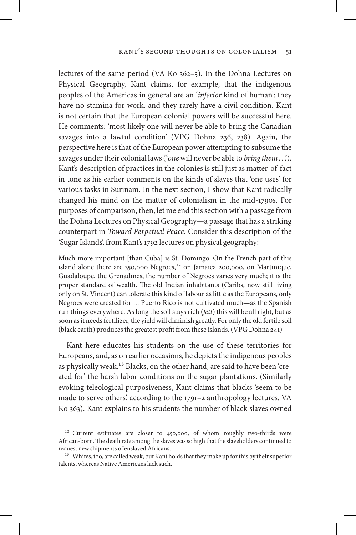lectures of the same period (VA Ko 362–5). In the Dohna Lectures on Physical Geography, Kant claims, for example, that the indigenous peoples of the Americas in general are an 'inferior kind of human': they have no stamina for work, and they rarely have a civil condition. Kant is not certain that the European colonial powers will be successful here. He comments: 'most likely one will never be able to bring the Canadian savages into a lawful condition' (VPG Dohna 236, 238). Again, the perspective here is that of the European power attempting to subsume the savages under their colonial laws ('one will never be able to *bring them...*'). Kant's description of practices in the colonies is still just as matter-of-fact in tone as his earlier comments on the kinds of slaves that 'one uses' for various tasks in Surinam. In the next section, I show that Kant radically changed his mind on the matter of colonialism in the mid-1790s. For purposes of comparison, then, let me end this section with a passage from the Dohna Lectures on Physical Geography—a passage that has a striking counterpart in Toward Perpetual Peace. Consider this description of the 'Sugar Islands', from Kant's 1792 lectures on physical geography:

Much more important [than Cuba] is St. Domingo. On the French part of this island alone there are  $350,000$  Negroes,<sup>12</sup> on Jamaica 200,000, on Martinique, Guadaloupe, the Grenadines, the number of Negroes varies very much; it is the proper standard of wealth. The old Indian inhabitants (Caribs, now still living only on St. Vincent) can tolerate this kind of labour as little as the Europeans, only Negroes were created for it. Puerto Rico is not cultivated much—as the Spanish run things everywhere. As long the soil stays rich (fett) this will be all right, but as soon as it needs fertilizer, the yield will diminish greatly. For only the old fertile soil (black earth) produces the greatest proft from these islands. (VPG Dohna 241)

Kant here educates his students on the use of these territories for Europeans, and, as on earlier occasions, he depicts the indigenous peoples as physically weak.<sup>13</sup> Blacks, on the other hand, are said to have been 'created for' the harsh labor conditions on the sugar plantations. (Similarly evoking teleological purposiveness, Kant claims that blacks 'seem to be made to serve others', according to the 1791–2 anthropology lectures, VA Ko 363). Kant explains to his students the number of black slaves owned

<sup>&</sup>lt;sup>12</sup> Current estimates are closer to 450,000, of whom roughly two-thirds were African-born. The death rate among the slaves was so high that the slaveholders continued to request new shipments of enslaved Africans.

<sup>&</sup>lt;sup>13</sup> Whites, too, are called weak, but Kant holds that they make up for this by their superior talents, whereas Native Americans lack such.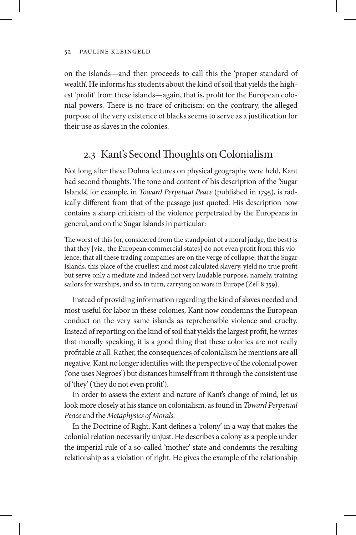on the islands—and then proceeds to call this the 'proper standard of wealth'. He informs his students about the kind of soil that yields the highest 'proft' from these islands—again, that is, proft for the European colonial powers. There is no trace of criticism; on the contrary, the alleged purpose of the very existence of blacks seems to serve as a justifcation for their use as slaves in the colonies.

## 2.3 Kant's Second Thoughts on Colonialism

Not long afer these Dohna lectures on physical geography were held, Kant had second thoughts. The tone and content of his description of the 'Sugar Islands', for example, in Toward Perpetual Peace (published in 1795), is radically diferent from that of the passage just quoted. His description now contains a sharp criticism of the violence perpetrated by the Europeans in general, and on the Sugar Islands in particular:

The worst of this (or, considered from the standpoint of a moral judge, the best) is that they [viz., the European commercial states] do not even proft from this violence; that all these trading companies are on the verge of collapse; that the Sugar Islands, this place of the cruellest and most calculated slavery, yield no true proft but serve only a mediate and indeed not very laudable purpose, namely, training sailors for warships, and so, in turn, carrying on wars in Europe (ZeF 8:359).

Instead of providing information regarding the kind of slaves needed and most useful for labor in these colonies, Kant now condemns the European conduct on the very same islands as reprehensible violence and cruelty. Instead of reporting on the kind of soil that yields the largest proft, he writes that morally speaking, it is a good thing that these colonies are not really proftable at all. Rather, the consequences of colonialism he mentions are all negative. Kant no longer identifes with the perspective of the colonial power ('one uses Negroes') but distances himself from it through the consistent use of 'they' ('they do not even proft').

In order to assess the extent and nature of Kant's change of mind, let us look more closely at his stance on colonialism, as found in Toward Perpetual Peace and the Metaphysics of Morals.

In the Doctrine of Right, Kant defnes a 'colony' in a way that makes the colonial relation necessarily unjust. He describes a colony as a people under the imperial rule of a so-called 'mother' state and condemns the resulting relationship as a violation of right. He gives the example of the relationship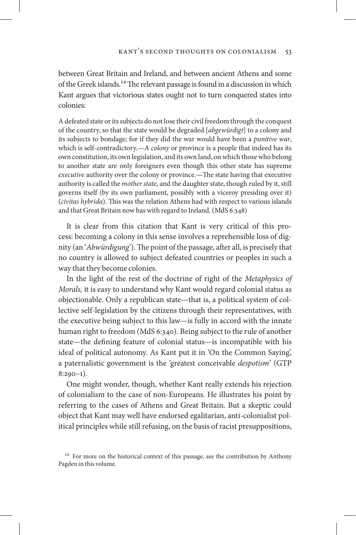between Great Britain and Ireland, and between ancient Athens and some of the Greek islands.<sup>14</sup> The relevant passage is found in a discussion in which Kant argues that victorious states ought not to turn conquered states into colonies:

A defeated state or its subjects do not lose their civil freedom through the conquest of the country, so that the state would be degraded [abgewürdigt] to a colony and its subjects to bondage; for if they did the war would have been a punitive war, which is self-contradictory.—A *colony* or province is a people that indeed has its own constitution, its own legislation, and its own land, on which those who belong to another state are only foreigners even though this other state has supreme executive authority over the colony or province.—The state having that executive authority is called the mother state, and the daughter state, though ruled by it, still governs itself (by its own parliament, possibly with a viceroy presiding over it) (civitas hybrida). This was the relation Athens had with respect to various islands and that Great Britain now has with regard to Ireland. (MdS 6:348)

It is clear from this citation that Kant is very critical of this process: becoming a colony in this sense involves a reprehensible loss of dignity (an 'Abwürdigung'). The point of the passage, after all, is precisely that no country is allowed to subject defeated countries or peoples in such a way that they become colonies.

In the light of the rest of the doctrine of right of the Metaphysics of Morals, it is easy to understand why Kant would regard colonial status as objectionable. Only a republican state—that is, a political system of collective self-legislation by the citizens through their representatives, with the executive being subject to this law—is fully in accord with the innate human right to freedom (MdS 6:340). Being subject to the rule of another state—the defning feature of colonial status—is incompatible with his ideal of political autonomy. As Kant put it in 'On the Common Saying', a paternalistic government is the 'greatest conceivable despotism' (GTP  $8:290-1$ ).

One might wonder, though, whether Kant really extends his rejection of colonialism to the case of non-Europeans. He illustrates his point by referring to the cases of Athens and Great Britain. But a skeptic could object that Kant may well have endorsed egalitarian, anti-colonialist political principles while still refusing, on the basis of racist presuppositions,

<sup>&</sup>lt;sup>14</sup> For more on the historical context of this passage, see the contribution by Anthony Pagden in this volume.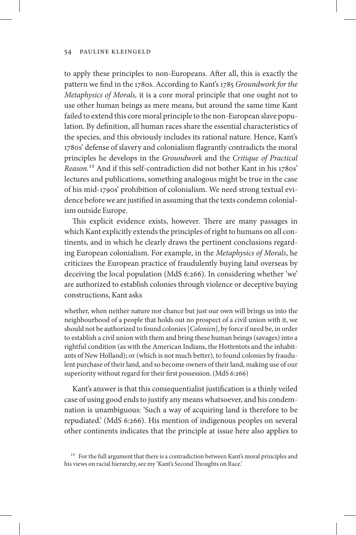to apply these principles to non-Europeans. Afer all, this is exactly the pattern we fnd in the 1780s. According to Kant's 1785 Groundwork for the Metaphysics of Morals, it is a core moral principle that one ought not to use other human beings as mere means, but around the same time Kant failed to extend this core moral principle to the non-European slave population. By defnition, all human races share the essential characteristics of the species, and this obviously includes its rational nature. Hence, Kant's 1780s' defense of slavery and colonialism fagrantly contradicts the moral principles he develops in the Groundwork and the Critique of Practical Reason.15 And if this self-contradiction did not bother Kant in his 1780s' lectures and publications, something analogous might be true in the case of his mid-1790s' prohibition of colonialism. We need strong textual evidence before we are justifed in assuming that the texts condemn colonialism outside Europe.

This explicit evidence exists, however. There are many passages in which Kant explicitly extends the principles of right to humans on all continents, and in which he clearly draws the pertinent conclusions regarding European colonialism. For example, in the Metaphysics of Morals, he criticizes the European practice of fraudulently buying land overseas by deceiving the local population (MdS 6:266). In considering whether 'we' are authorized to establish colonies through violence or deceptive buying constructions, Kant asks

whether, when neither nature nor chance but just our own will brings us into the neighbourhood of a people that holds out no prospect of a civil union with it, we should not be authorized to found colonies [Colonien], by force if need be, in order to establish a civil union with them and bring these human beings (savages) into a rightful condition (as with the American Indians, the Hottentots and the inhabitants of New Holland); or (which is not much better), to found colonies by fraudulent purchase of their land, and so become owners of their land, making use of our superiority without regard for their frst possession. (MdS 6:266)

Kant's answer is that this consequentialist justifcation is a thinly veiled case of using good ends to justify any means whatsoever, and his condemnation is unambiguous: 'Such a way of acquiring land is therefore to be repudiated.' (MdS 6:266). His mention of indigenous peoples on several other continents indicates that the principle at issue here also applies to

<sup>&</sup>lt;sup>15</sup> For the full argument that there is a contradiction between Kant's moral principles and his views on racial hierarchy, see my 'Kant's Second Thoughts on Race.'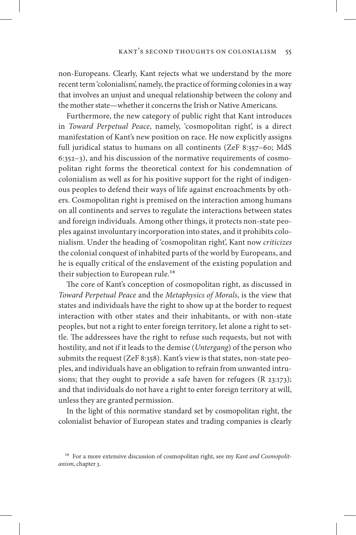non-Europeans. Clearly, Kant rejects what we understand by the more recent term 'colonialism', namely, the practice of forming colonies in a way that involves an unjust and unequal relationship between the colony and the mother state—whether it concerns the Irish or Native Americans.

Furthermore, the new category of public right that Kant introduces in Toward Perpetual Peace, namely, 'cosmopolitan right', is a direct manifestation of Kant's new position on race. He now explicitly assigns full juridical status to humans on all continents (ZeF 8:357–60; MdS 6:352–3), and his discussion of the normative requirements of cosmopolitan right forms the theoretical context for his condemnation of colonialism as well as for his positive support for the right of indigenous peoples to defend their ways of life against encroachments by others. Cosmopolitan right is premised on the interaction among humans on all continents and serves to regulate the interactions between states and foreign individuals. Among other things, it protects non-state peoples against involuntary incorporation into states, and it prohibits colonialism. Under the heading of 'cosmopolitan right', Kant now criticizes the colonial conquest of inhabited parts of the world by Europeans, and he is equally critical of the enslavement of the existing population and their subjection to European rule.<sup>16</sup>

The core of Kant's conception of cosmopolitan right, as discussed in Toward Perpetual Peace and the Metaphysics of Morals, is the view that states and individuals have the right to show up at the border to request interaction with other states and their inhabitants, or with non-state peoples, but not a right to enter foreign territory, let alone a right to settle. The addressees have the right to refuse such requests, but not with hostility, and not if it leads to the demise (Untergang) of the person who submits the request (ZeF 8:358). Kant's view is that states, non-state peoples, and individuals have an obligation to refrain from unwanted intrusions; that they ought to provide a safe haven for refugees (R 23:173); and that individuals do not have a right to enter foreign territory at will, unless they are granted permission.

In the light of this normative standard set by cosmopolitan right, the colonialist behavior of European states and trading companies is clearly

<sup>&</sup>lt;sup>16</sup> For a more extensive discussion of cosmopolitan right, see my Kant and Cosmopolitanism, chapter 3.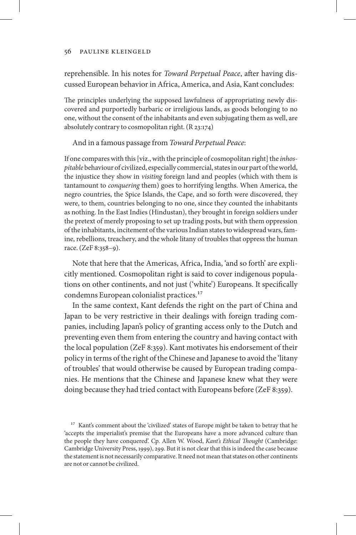reprehensible. In his notes for Toward Perpetual Peace, after having discussed European behavior in Africa, America, and Asia, Kant concludes:

The principles underlying the supposed lawfulness of appropriating newly discovered and purportedly barbaric or irreligious lands, as goods belonging to no one, without the consent of the inhabitants and even subjugating them as well, are absolutely contrary to cosmopolitan right. (R 23:174)

And in a famous passage from Toward Perpetual Peace:

If one compares with this [viz., with the principle of cosmopolitan right] the inhospitable behaviour of civilized, especially commercial, states in our part of the world, the injustice they show in *visiting* foreign land and peoples (which with them is tantamount to *conquering* them) goes to horrifying lengths. When America, the negro countries, the Spice Islands, the Cape, and so forth were discovered, they were, to them, countries belonging to no one, since they counted the inhabitants as nothing. In the East Indies (Hindustan), they brought in foreign soldiers under the pretext of merely proposing to set up trading posts, but with them oppression of the inhabitants, incitement of the various Indian states to widespread wars, famine, rebellions, treachery, and the whole litany of troubles that oppress the human race. (ZeF 8:358–9).

Note that here that the Americas, Africa, India, 'and so forth' are explicitly mentioned. Cosmopolitan right is said to cover indigenous populations on other continents, and not just ('white') Europeans. It specifcally condemns European colonialist practices.17

In the same context, Kant defends the right on the part of China and Japan to be very restrictive in their dealings with foreign trading companies, including Japan's policy of granting access only to the Dutch and preventing even them from entering the country and having contact with the local population (ZeF 8:359). Kant motivates his endorsement of their policy in terms of the right of the Chinese and Japanese to avoid the 'litany of troubles' that would otherwise be caused by European trading companies. He mentions that the Chinese and Japanese knew what they were doing because they had tried contact with Europeans before (ZeF 8:359).

<sup>17</sup> Kant's comment about the 'civilized' states of Europe might be taken to betray that he 'accepts the imperialist's premise that the Europeans have a more advanced culture than the people they have conquered'. Cp. Allen W. Wood, Kant's Ethical Thought (Cambridge: Cambridge University Press, 1999), 299. But it is not clear that this is indeed the case because the statement is not necessarily comparative. It need not mean that states on other continents are not or cannot be civilized.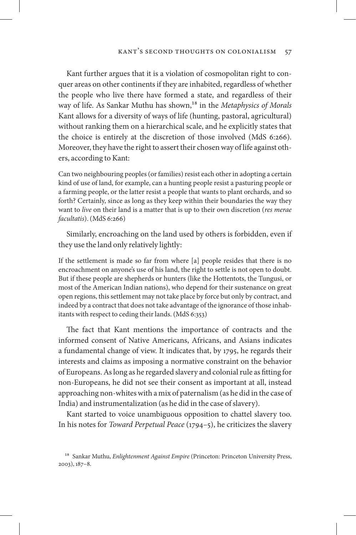Kant further argues that it is a violation of cosmopolitan right to conquer areas on other continents if they are inhabited, regardless of whether the people who live there have formed a state, and regardless of their way of life. As Sankar Muthu has shown,<sup>18</sup> in the Metaphysics of Morals Kant allows for a diversity of ways of life (hunting, pastoral, agricultural) without ranking them on a hierarchical scale, and he explicitly states that the choice is entirely at the discretion of those involved (MdS 6:266). Moreover, they have the right to assert their chosen way of life against others, according to Kant:

Can two neighbouring peoples (or families) resist each other in adopting a certain kind of use of land, for example, can a hunting people resist a pasturing people or a farming people, or the latter resist a people that wants to plant orchards, and so forth? Certainly, since as long as they keep within their boundaries the way they want to live on their land is a matter that is up to their own discretion (res merae facultatis). (MdS 6:266)

Similarly, encroaching on the land used by others is forbidden, even if they use the land only relatively lightly:

If the settlement is made so far from where [a] people resides that there is no encroachment on anyone's use of his land, the right to settle is not open to doubt. But if these people are shepherds or hunters (like the Hottentots, the Tungusi, or most of the American Indian nations), who depend for their sustenance on great open regions, this settlement may not take place by force but only by contract, and indeed by a contract that does not take advantage of the ignorance of those inhabitants with respect to ceding their lands. (MdS 6:353)

The fact that Kant mentions the importance of contracts and the informed consent of Native Americans, Africans, and Asians indicates a fundamental change of view. It indicates that, by 1795, he regards their interests and claims as imposing a normative constraint on the behavior of Europeans. As long as he regarded slavery and colonial rule as ftting for non-Europeans, he did not see their consent as important at all, instead approaching non-whites with a mix of paternalism (as he did in the case of India) and instrumentalization (as he did in the case of slavery).

Kant started to voice unambiguous opposition to chattel slavery too. In his notes for Toward Perpetual Peace (1794–5), he criticizes the slavery

<sup>&</sup>lt;sup>18</sup> Sankar Muthu, *Enlightenment Against Empire* (Princeton: Princeton University Press, 2003), 187–8.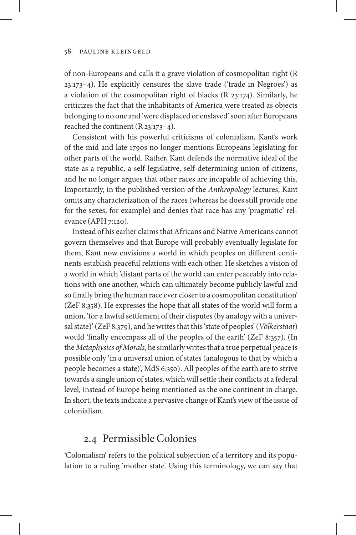of non-Europeans and calls it a grave violation of cosmopolitan right (R 23:173–4). He explicitly censures the slave trade ('trade in Negroes') as a violation of the cosmopolitan right of blacks (R 23:174). Similarly, he criticizes the fact that the inhabitants of America were treated as objects belonging to no one and 'were displaced or enslaved' soon after Europeans reached the continent (R 23:173–4).

Consistent with his powerful criticisms of colonialism, Kant's work of the mid and late 1790s no longer mentions Europeans legislating for other parts of the world. Rather, Kant defends the normative ideal of the state as a republic, a self-legislative, self-determining union of citizens, and he no longer argues that other races are incapable of achieving this. Importantly, in the published version of the Anthropology lectures, Kant omits any characterization of the races (whereas he does still provide one for the sexes, for example) and denies that race has any 'pragmatic' relevance (APH 7:120).

Instead of his earlier claims that Africans and Native Americans cannot govern themselves and that Europe will probably eventually legislate for them, Kant now envisions a world in which peoples on diferent continents establish peaceful relations with each other. He sketches a vision of a world in which 'distant parts of the world can enter peaceably into relations with one another, which can ultimately become publicly lawful and so fnally bring the human race ever closer to a cosmopolitan constitution' (ZeF 8:358). He expresses the hope that all states of the world will form a union, 'for a lawful settlement of their disputes (by analogy with a universal state)' (ZeF 8:379), and he writes that this 'state of peoples' (Völkerstaat) would 'fnally encompass all of the peoples of the earth' (ZeF 8:357). (In the Metaphysics of Morals, he similarly writes that a true perpetual peace is possible only 'in a universal union of states (analogous to that by which a people becomes a state)', MdS 6:350). All peoples of the earth are to strive towards a single union of states, which will settle their conficts at a federal level, instead of Europe being mentioned as the one continent in charge. In short, the texts indicate a pervasive change of Kant's view of the issue of colonialism.

## 2.4 Permissible Colonies

'Colonialism' refers to the political subjection of a territory and its population to a ruling 'mother state'. Using this terminology, we can say that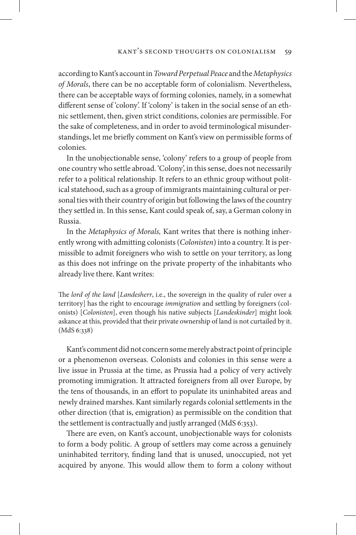according to Kant's account in Toward Perpetual Peace and the Metaphysics of Morals, there can be no acceptable form of colonialism. Nevertheless, there can be acceptable ways of forming colonies, namely, in a somewhat diferent sense of 'colony'. If 'colony' is taken in the social sense of an ethnic settlement, then, given strict conditions, colonies are permissible. For the sake of completeness, and in order to avoid terminological misunderstandings, let me briefy comment on Kant's view on permissible forms of colonies.

In the unobjectionable sense, 'colony' refers to a group of people from one country who settle abroad. 'Colony', in this sense, does not necessarily refer to a political relationship. It refers to an ethnic group without political statehood, such as a group of immigrants maintaining cultural or personal ties with their country of origin but following the laws of the country they settled in. In this sense, Kant could speak of, say, a German colony in Russia.

In the Metaphysics of Morals, Kant writes that there is nothing inherently wrong with admitting colonists (Colonisten) into a country. It is permissible to admit foreigners who wish to settle on your territory, as long as this does not infringe on the private property of the inhabitants who already live there. Kant writes:

The lord of the land [Landesherr, i.e., the sovereign in the quality of ruler over a territory] has the right to encourage *immigration* and settling by foreigners (colonists) [Colonisten], even though his native subjects [Landeskinder] might look askance at this, provided that their private ownership of land is not curtailed by it. (MdS 6:338)

Kant's comment did not concern some merely abstract point of principle or a phenomenon overseas. Colonists and colonies in this sense were a live issue in Prussia at the time, as Prussia had a policy of very actively promoting immigration. It attracted foreigners from all over Europe, by the tens of thousands, in an efort to populate its uninhabited areas and newly drained marshes. Kant similarly regards colonial settlements in the other direction (that is, emigration) as permissible on the condition that the settlement is contractually and justly arranged (MdS 6:353).

There are even, on Kant's account, unobjectionable ways for colonists to form a body politic. A group of settlers may come across a genuinely uninhabited territory, fnding land that is unused, unoccupied, not yet acquired by anyone. This would allow them to form a colony without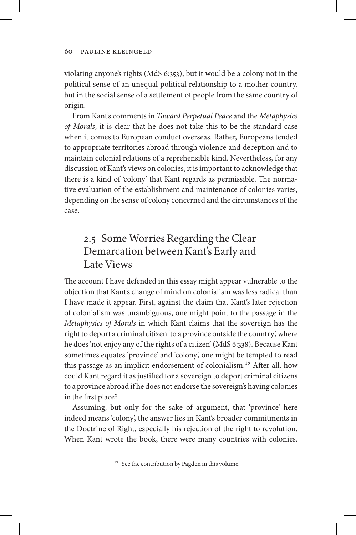violating anyone's rights (MdS 6:353), but it would be a colony not in the political sense of an unequal political relationship to a mother country, but in the social sense of a settlement of people from the same country of origin.

From Kant's comments in Toward Perpetual Peace and the Metaphysics of Morals, it is clear that he does not take this to be the standard case when it comes to European conduct overseas. Rather, Europeans tended to appropriate territories abroad through violence and deception and to maintain colonial relations of a reprehensible kind. Nevertheless, for any discussion of Kant's views on colonies, it is important to acknowledge that there is a kind of 'colony' that Kant regards as permissible. The normative evaluation of the establishment and maintenance of colonies varies, depending on the sense of colony concerned and the circumstances of the case.

## 2.5 Some Worries Regarding the Clear Demarcation between Kant's Early and Late Views

The account I have defended in this essay might appear vulnerable to the objection that Kant's change of mind on colonialism was less radical than I have made it appear. First, against the claim that Kant's later rejection of colonialism was unambiguous, one might point to the passage in the Metaphysics of Morals in which Kant claims that the sovereign has the right to deport a criminal citizen 'to a province outside the country', where he does 'not enjoy any of the rights of a citizen' (MdS 6:338). Because Kant sometimes equates 'province' and 'colony', one might be tempted to read this passage as an implicit endorsement of colonialism.19 Afer all, how could Kant regard it as justifed for a sovereign to deport criminal citizens to a province abroad if he does not endorse the sovereign's having colonies in the frst place?

Assuming, but only for the sake of argument, that 'province' here indeed means 'colony', the answer lies in Kant's broader commitments in the Doctrine of Right, especially his rejection of the right to revolution. When Kant wrote the book, there were many countries with colonies.

<sup>19</sup> See the contribution by Pagden in this volume.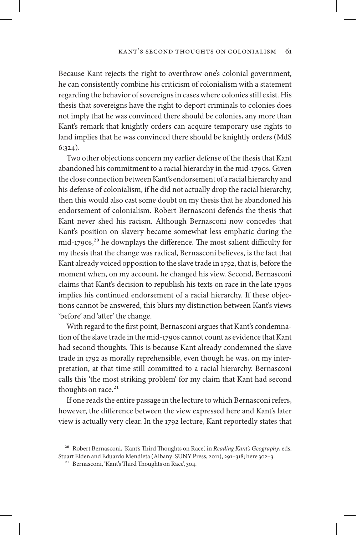Because Kant rejects the right to overthrow one's colonial government, he can consistently combine his criticism of colonialism with a statement regarding the behavior of sovereigns in cases where colonies still exist. His thesis that sovereigns have the right to deport criminals to colonies does not imply that he was convinced there should be colonies, any more than Kant's remark that knightly orders can acquire temporary use rights to land implies that he was convinced there should be knightly orders (MdS 6:324).

Two other objections concern my earlier defense of the thesis that Kant abandoned his commitment to a racial hierarchy in the mid-1790s. Given the close connection between Kant's endorsement of a racial hierarchy and his defense of colonialism, if he did not actually drop the racial hierarchy, then this would also cast some doubt on my thesis that he abandoned his endorsement of colonialism. Robert Bernasconi defends the thesis that Kant never shed his racism. Although Bernasconi now concedes that Kant's position on slavery became somewhat less emphatic during the mid-1790s,<sup>20</sup> he downplays the difference. The most salient difficulty for my thesis that the change was radical, Bernasconi believes, is the fact that Kant already voiced opposition to the slave trade in 1792, that is, before the moment when, on my account, he changed his view. Second, Bernasconi claims that Kant's decision to republish his texts on race in the late 1790s implies his continued endorsement of a racial hierarchy. If these objections cannot be answered, this blurs my distinction between Kant's views 'before' and 'after' the change.

With regard to the frst point, Bernasconi argues that Kant's condemnation of the slave trade in the mid-1790s cannot count as evidence that Kant had second thoughts. This is because Kant already condemned the slave trade in 1792 as morally reprehensible, even though he was, on my interpretation, at that time still committed to a racial hierarchy. Bernasconi calls this 'the most striking problem' for my claim that Kant had second thoughts on race.<sup>21</sup>

If one reads the entire passage in the lecture to which Bernasconi refers, however, the diference between the view expressed here and Kant's later view is actually very clear. In the 1792 lecture, Kant reportedly states that

<sup>21</sup> Bernasconi, 'Kant's Third Thoughts on Race', 304.

<sup>&</sup>lt;sup>20</sup> Robert Bernasconi, 'Kant's Third Thoughts on Race,' in Reading Kant's Geography, eds. Stuart Elden and Eduardo Mendieta (Albany: SUNY Press, 2011), 291–318; here 302–3.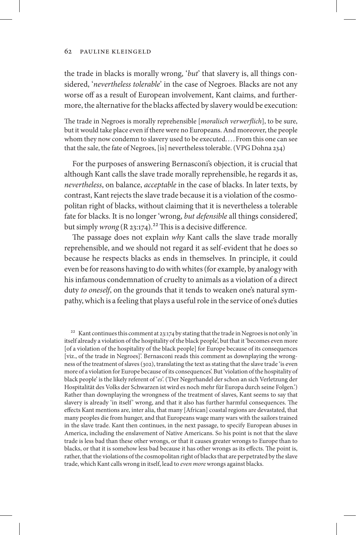the trade in blacks is morally wrong, 'but' that slavery is, all things considered, 'nevertheless tolerable' in the case of Negroes. Blacks are not any worse off as a result of European involvement, Kant claims, and furthermore, the alternative for the blacks afected by slavery would be execution:

The trade in Negroes is morally reprehensible [moralisch verwerflich], to be sure, but it would take place even if there were no Europeans. And moreover, the people whom they now condemn to slavery used to be executed. . . .From this one can see that the sale, the fate of Negroes, [is] nevertheless tolerable. (VPG Dohna 234)

For the purposes of answering Bernasconi's objection, it is crucial that although Kant calls the slave trade morally reprehensible, he regards it as, nevertheless, on balance, acceptable in the case of blacks. In later texts, by contrast, Kant rejects the slave trade because it is a violation of the cosmopolitan right of blacks, without claiming that it is nevertheless a tolerable fate for blacks. It is no longer 'wrong, but defensible all things considered', but simply wrong  $(R 23:174)$ .<sup>22</sup> This is a decisive difference.

The passage does not explain why Kant calls the slave trade morally reprehensible, and we should not regard it as self-evident that he does so because he respects blacks as ends in themselves. In principle, it could even be for reasons having to do with whites (for example, by analogy with his infamous condemnation of cruelty to animals as a violation of a direct duty to oneself, on the grounds that it tends to weaken one's natural sympathy, which is a feeling that plays a useful role in the service of one's duties

<sup>22</sup> Kant continues this comment at 23:174 by stating that the trade in Negroes is not only 'in itself already a violation of the hospitality of the black people', but that it 'becomes even more [of a violation of the hospitality of the black people] for Europe because of its consequences [viz., of the trade in Negroes]'. Bernasconi reads this comment as downplaying the wrongness of the treatment of slaves (302), translating the text as stating that the slave trade 'is even more of a violation for Europe because of its consequences'. But 'violation of the hospitality of black people' is the likely referent of 'es'. ('Der Negerhandel der schon an sich Verletzung der Hospitalität des Volks der Schwarzen ist wird es noch mehr für Europa durch seine Folgen.') Rather than downplaying the wrongness of the treatment of slaves, Kant seems to say that slavery is already 'in itself' wrong, and that it also has further harmful consequences. The efects Kant mentions are, inter alia, that many [African] coastal regions are devastated, that many peoples die from hunger, and that Europeans wage many wars with the sailors trained in the slave trade. Kant then continues, in the next passage, to specify European abuses in America, including the enslavement of Native Americans. So his point is not that the slave trade is less bad than these other wrongs, or that it causes greater wrongs to Europe than to blacks, or that it is somehow less bad because it has other wrongs as its effects. The point is, rather, that the violations of the cosmopolitan right of blacks that are perpetrated by the slave trade, which Kant calls wrong in itself, lead to even more wrongs against blacks.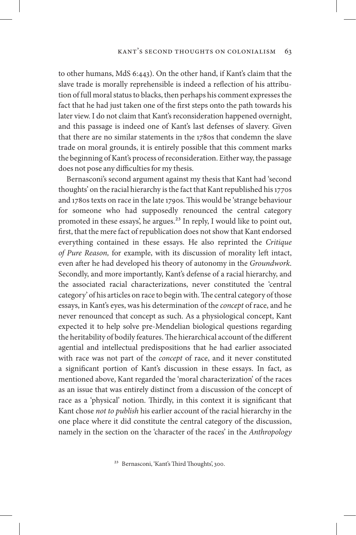to other humans, MdS 6:443). On the other hand, if Kant's claim that the slave trade is morally reprehensible is indeed a refection of his attribution of full moral status to blacks, then perhaps his comment expresses the fact that he had just taken one of the frst steps onto the path towards his later view. I do not claim that Kant's reconsideration happened overnight, and this passage is indeed one of Kant's last defenses of slavery. Given that there are no similar statements in the 1780s that condemn the slave trade on moral grounds, it is entirely possible that this comment marks the beginning of Kant's process of reconsideration. Either way, the passage does not pose any difficulties for my thesis.

Bernasconi's second argument against my thesis that Kant had 'second thoughts' on the racial hierarchy is the fact that Kant republished his 1770s and 1780s texts on race in the late 1790s. This would be 'strange behaviour for someone who had supposedly renounced the central category promoted in these essays', he argues.<sup>23</sup> In reply, I would like to point out, frst, that the mere fact of republication does not show that Kant endorsed everything contained in these essays. He also reprinted the Critique of Pure Reason, for example, with its discussion of morality left intact, even after he had developed his theory of autonomy in the Groundwork. Secondly, and more importantly, Kant's defense of a racial hierarchy, and the associated racial characterizations, never constituted the 'central category' of his articles on race to begin with. The central category of those essays, in Kant's eyes, was his determination of the concept of race, and he never renounced that concept as such. As a physiological concept, Kant expected it to help solve pre-Mendelian biological questions regarding the heritability of bodily features. The hierarchical account of the different agential and intellectual predispositions that he had earlier associated with race was not part of the concept of race, and it never constituted a signifcant portion of Kant's discussion in these essays. In fact, as mentioned above, Kant regarded the 'moral characterization' of the races as an issue that was entirely distinct from a discussion of the concept of race as a 'physical' notion. Thirdly, in this context it is significant that Kant chose not to publish his earlier account of the racial hierarchy in the one place where it did constitute the central category of the discussion, namely in the section on the 'character of the races' in the Anthropology

<sup>23</sup> Bernasconi, 'Kant's Third Thoughts', 300.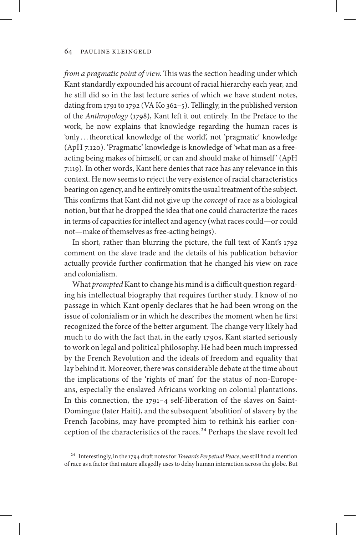from a pragmatic point of view. This was the section heading under which Kant standardly expounded his account of racial hierarchy each year, and he still did so in the last lecture series of which we have student notes, dating from 1791 to 1792 (VA Ko 362–5). Tellingly, in the published version of the Anthropology (1798), Kant left it out entirely. In the Preface to the work, he now explains that knowledge regarding the human races is 'only . . .theoretical knowledge of the world', not 'pragmatic' knowledge (ApH 7:120). 'Pragmatic' knowledge is knowledge of 'what man as a freeacting being makes of himself, or can and should make of himself' (ApH 7:119). In other words, Kant here denies that race has any relevance in this context. He now seems to reject the very existence of racial characteristics bearing on agency, and he entirely omits the usual treatment of the subject. This confirms that Kant did not give up the *concept* of race as a biological notion, but that he dropped the idea that one could characterize the races in terms of capacities for intellect and agency (what races could—or could not—make of themselves as free-acting beings).

In short, rather than blurring the picture, the full text of Kant's 1792 comment on the slave trade and the details of his publication behavior actually provide further confrmation that he changed his view on race and colonialism.

What prompted Kant to change his mind is a difficult question regarding his intellectual biography that requires further study. I know of no passage in which Kant openly declares that he had been wrong on the issue of colonialism or in which he describes the moment when he frst recognized the force of the better argument. The change very likely had much to do with the fact that, in the early 1790s, Kant started seriously to work on legal and political philosophy. He had been much impressed by the French Revolution and the ideals of freedom and equality that lay behind it. Moreover, there was considerable debate at the time about the implications of the 'rights of man' for the status of non-Europeans, especially the enslaved Africans working on colonial plantations. In this connection, the 1791–4 self-liberation of the slaves on Saint-Domingue (later Haiti), and the subsequent 'abolition' of slavery by the French Jacobins, may have prompted him to rethink his earlier conception of the characteristics of the races.<sup>24</sup> Perhaps the slave revolt led

<sup>&</sup>lt;sup>24</sup> Interestingly, in the 1794 draft notes for Towards Perpetual Peace, we still find a mention of race as a factor that nature allegedly uses to delay human interaction across the globe. But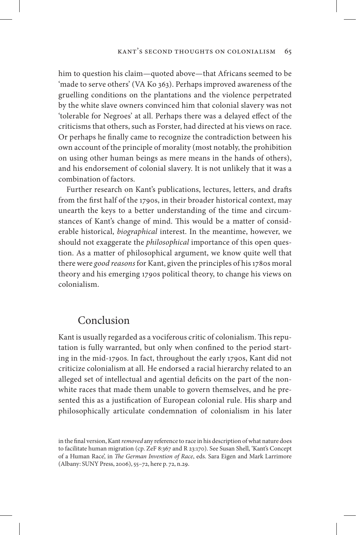him to question his claim—quoted above—that Africans seemed to be 'made to serve others' (VA Ko 363). Perhaps improved awareness of the gruelling conditions on the plantations and the violence perpetrated by the white slave owners convinced him that colonial slavery was not 'tolerable for Negroes' at all. Perhaps there was a delayed efect of the criticisms that others, such as Forster, had directed at his views on race. Or perhaps he fnally came to recognize the contradiction between his own account of the principle of morality (most notably, the prohibition on using other human beings as mere means in the hands of others), and his endorsement of colonial slavery. It is not unlikely that it was a combination of factors.

Further research on Kant's publications, lectures, letters, and drafs from the frst half of the 1790s, in their broader historical context, may unearth the keys to a better understanding of the time and circumstances of Kant's change of mind. This would be a matter of considerable historical, biographical interest. In the meantime, however, we should not exaggerate the *philosophical* importance of this open question. As a matter of philosophical argument, we know quite well that there were good reasons for Kant, given the principles of his 1780s moral theory and his emerging 1790s political theory, to change his views on colonialism.

### Conclusion

Kant is usually regarded as a vociferous critic of colonialism. This reputation is fully warranted, but only when confned to the period starting in the mid-1790s. In fact, throughout the early 1790s, Kant did not criticize colonialism at all. He endorsed a racial hierarchy related to an alleged set of intellectual and agential deficits on the part of the nonwhite races that made them unable to govern themselves, and he presented this as a justifcation of European colonial rule. His sharp and philosophically articulate condemnation of colonialism in his later

in the final version, Kant removed any reference to race in his description of what nature does to facilitate human migration (cp. ZeF 8:367 and R 23:170). See Susan Shell, 'Kant's Concept of a Human Race', in The German Invention of Race, eds. Sara Eigen and Mark Larrimore (Albany: SUNY Press, 2006), 55–72, here p. 72, n.29.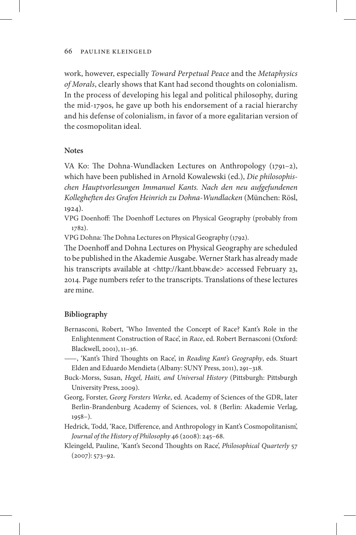work, however, especially Toward Perpetual Peace and the Metaphysics of Morals, clearly shows that Kant had second thoughts on colonialism. In the process of developing his legal and political philosophy, during the mid-1790s, he gave up both his endorsement of a racial hierarchy and his defense of colonialism, in favor of a more egalitarian version of the cosmopolitan ideal.

#### **Notes**

VA Ko: The Dohna-Wundlacken Lectures on Anthropology (1791-2), which have been published in Arnold Kowalewski (ed.), Die philosophischen Hauptvorlesungen Immanuel Kants. Nach den neu aufgefundenen Kolleghefen des Grafen Heinrich zu Dohna-Wundlacken (München: Rösl, 1924).

- VPG Doenhoff: The Doenhoff Lectures on Physical Geography (probably from 1782).
- VPG Dohna: The Dohna Lectures on Physical Geography (1792).

The Doenhoff and Dohna Lectures on Physical Geography are scheduled to be published in the Akademie Ausgabe. Werner Stark has already made his transcripts available at <http://kant.bbaw.de> accessed February 23, 2014. Page numbers refer to the transcripts. Translations of these lectures are mine.

#### **Bibliography**

- Bernasconi, Robert, 'Who Invented the Concept of Race? Kant's Role in the Enlightenment Construction of Race', in Race, ed. Robert Bernasconi (Oxford: Blackwell, 2001), 11–36.
- -, 'Kant's Third Thoughts on Race', in Reading Kant's Geography, eds. Stuart Elden and Eduardo Mendieta (Albany: SUNY Press, 2011), 291–318.
- Buck-Morss, Susan, Hegel, Haiti, and Universal History (Pittsburgh: Pittsburgh University Press, 2009).
- Georg, Forster, Georg Forsters Werke, ed. Academy of Sciences of the GDR, later Berlin-Brandenburg Academy of Sciences, vol. 8 (Berlin: Akademie Verlag,  $1958-$ ).
- Hedrick, Todd, 'Race, Diference, and Anthropology in Kant's Cosmopolitanism', Journal of the History of Philosophy 46 (2008): 245–68.
- Kleingeld, Pauline, 'Kant's Second Thoughts on Race', Philosophical Quarterly 57 (2007): 573–92.